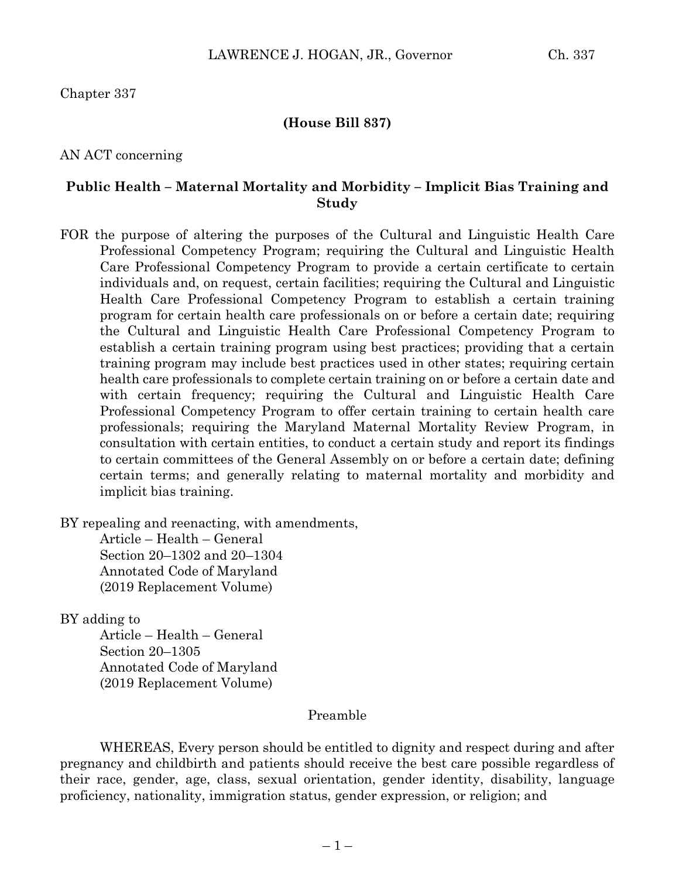Chapter 337

#### **(House Bill 837)**

AN ACT concerning

### **Public Health – Maternal Mortality and Morbidity – Implicit Bias Training and Study**

FOR the purpose of altering the purposes of the Cultural and Linguistic Health Care Professional Competency Program; requiring the Cultural and Linguistic Health Care Professional Competency Program to provide a certain certificate to certain individuals and, on request, certain facilities; requiring the Cultural and Linguistic Health Care Professional Competency Program to establish a certain training program for certain health care professionals on or before a certain date; requiring the Cultural and Linguistic Health Care Professional Competency Program to establish a certain training program using best practices; providing that a certain training program may include best practices used in other states; requiring certain health care professionals to complete certain training on or before a certain date and with certain frequency; requiring the Cultural and Linguistic Health Care Professional Competency Program to offer certain training to certain health care professionals; requiring the Maryland Maternal Mortality Review Program, in consultation with certain entities, to conduct a certain study and report its findings to certain committees of the General Assembly on or before a certain date; defining certain terms; and generally relating to maternal mortality and morbidity and implicit bias training.

BY repealing and reenacting, with amendments,

Article – Health – General Section 20–1302 and 20–1304 Annotated Code of Maryland (2019 Replacement Volume)

BY adding to

Article – Health – General Section 20–1305 Annotated Code of Maryland (2019 Replacement Volume)

#### Preamble

WHEREAS, Every person should be entitled to dignity and respect during and after pregnancy and childbirth and patients should receive the best care possible regardless of their race, gender, age, class, sexual orientation, gender identity, disability, language proficiency, nationality, immigration status, gender expression, or religion; and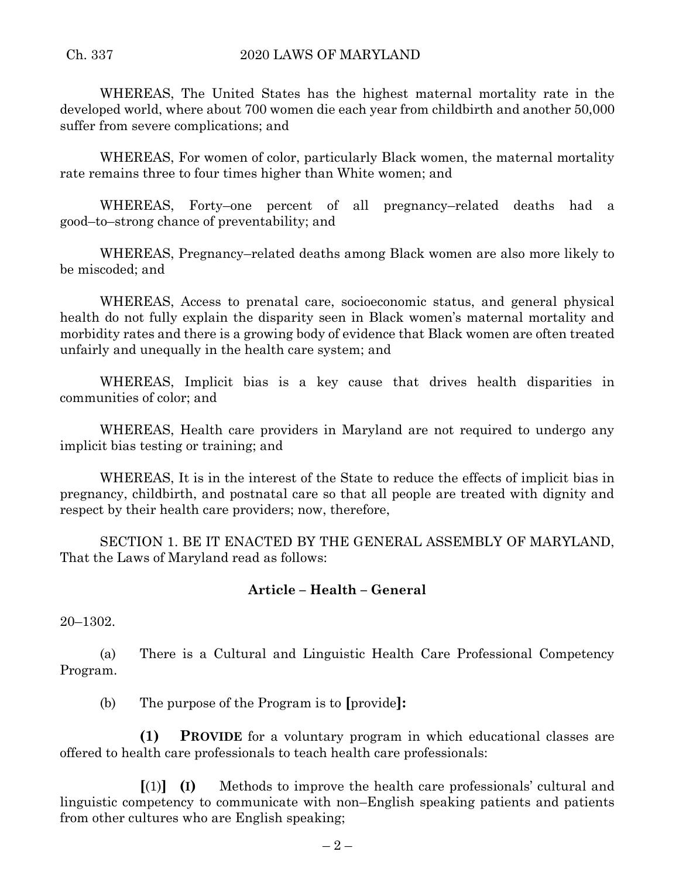WHEREAS, The United States has the highest maternal mortality rate in the developed world, where about 700 women die each year from childbirth and another 50,000 suffer from severe complications; and

WHEREAS, For women of color, particularly Black women, the maternal mortality rate remains three to four times higher than White women; and

WHEREAS, Forty–one percent of all pregnancy–related deaths had a good–to–strong chance of preventability; and

WHEREAS, Pregnancy–related deaths among Black women are also more likely to be miscoded; and

WHEREAS, Access to prenatal care, socioeconomic status, and general physical health do not fully explain the disparity seen in Black women's maternal mortality and morbidity rates and there is a growing body of evidence that Black women are often treated unfairly and unequally in the health care system; and

WHEREAS, Implicit bias is a key cause that drives health disparities in communities of color; and

WHEREAS, Health care providers in Maryland are not required to undergo any implicit bias testing or training; and

WHEREAS, It is in the interest of the State to reduce the effects of implicit bias in pregnancy, childbirth, and postnatal care so that all people are treated with dignity and respect by their health care providers; now, therefore,

SECTION 1. BE IT ENACTED BY THE GENERAL ASSEMBLY OF MARYLAND, That the Laws of Maryland read as follows:

## **Article – Health – General**

20–1302.

(a) There is a Cultural and Linguistic Health Care Professional Competency Program.

(b) The purpose of the Program is to **[**provide**]:**

**(1) PROVIDE** for a voluntary program in which educational classes are offered to health care professionals to teach health care professionals:

**[**(1)**] (I)** Methods to improve the health care professionals' cultural and linguistic competency to communicate with non–English speaking patients and patients from other cultures who are English speaking;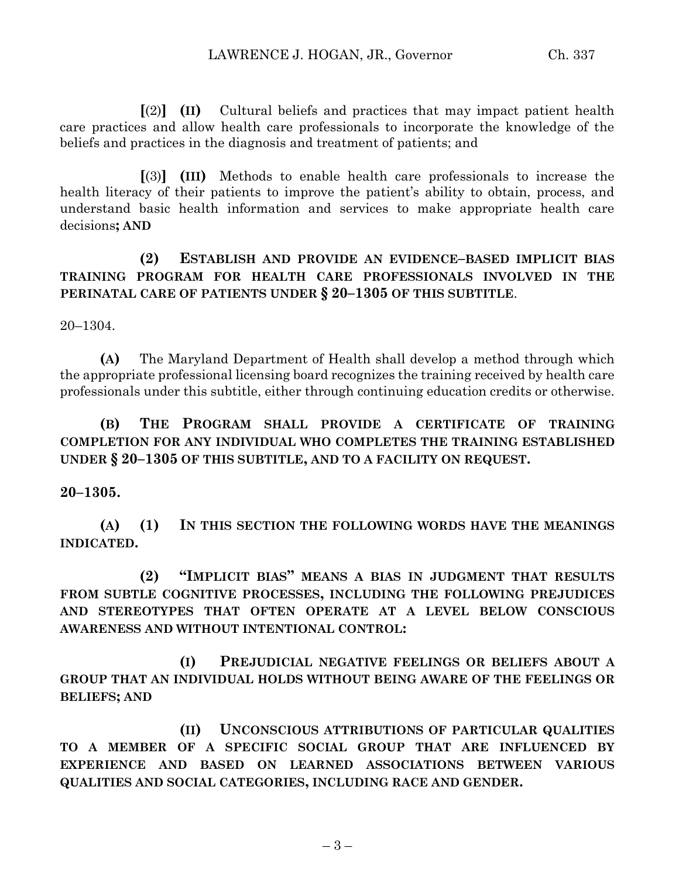**[**(2)**] (II)** Cultural beliefs and practices that may impact patient health care practices and allow health care professionals to incorporate the knowledge of the beliefs and practices in the diagnosis and treatment of patients; and

**[**(3)**] (III)** Methods to enable health care professionals to increase the health literacy of their patients to improve the patient's ability to obtain, process, and understand basic health information and services to make appropriate health care decisions**; AND**

**(2) ESTABLISH AND PROVIDE AN EVIDENCE–BASED IMPLICIT BIAS TRAINING PROGRAM FOR HEALTH CARE PROFESSIONALS INVOLVED IN THE PERINATAL CARE OF PATIENTS UNDER § 20–1305 OF THIS SUBTITLE**.

20–1304.

**(A)** The Maryland Department of Health shall develop a method through which the appropriate professional licensing board recognizes the training received by health care professionals under this subtitle, either through continuing education credits or otherwise.

# **(B) THE PROGRAM SHALL PROVIDE A CERTIFICATE OF TRAINING COMPLETION FOR ANY INDIVIDUAL WHO COMPLETES THE TRAINING ESTABLISHED UNDER § 20–1305 OF THIS SUBTITLE, AND TO A FACILITY ON REQUEST.**

## **20–1305.**

**(A) (1) IN THIS SECTION THE FOLLOWING WORDS HAVE THE MEANINGS INDICATED.**

**(2) "IMPLICIT BIAS" MEANS A BIAS IN JUDGMENT THAT RESULTS FROM SUBTLE COGNITIVE PROCESSES, INCLUDING THE FOLLOWING PREJUDICES AND STEREOTYPES THAT OFTEN OPERATE AT A LEVEL BELOW CONSCIOUS AWARENESS AND WITHOUT INTENTIONAL CONTROL:**

**(I) PREJUDICIAL NEGATIVE FEELINGS OR BELIEFS ABOUT A GROUP THAT AN INDIVIDUAL HOLDS WITHOUT BEING AWARE OF THE FEELINGS OR BELIEFS; AND**

**(II) UNCONSCIOUS ATTRIBUTIONS OF PARTICULAR QUALITIES TO A MEMBER OF A SPECIFIC SOCIAL GROUP THAT ARE INFLUENCED BY EXPERIENCE AND BASED ON LEARNED ASSOCIATIONS BETWEEN VARIOUS QUALITIES AND SOCIAL CATEGORIES, INCLUDING RACE AND GENDER.**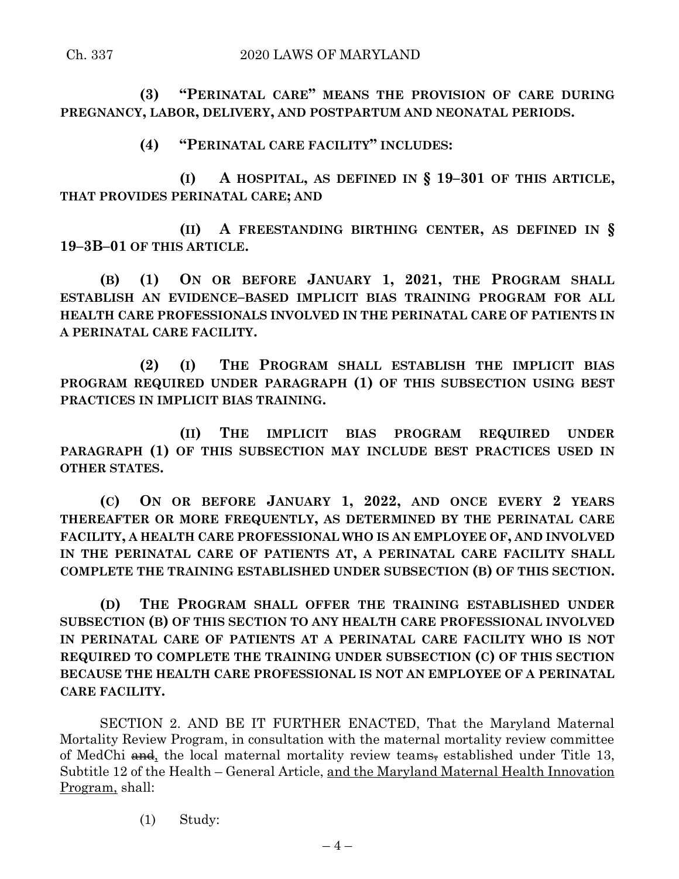**(3) "PERINATAL CARE" MEANS THE PROVISION OF CARE DURING PREGNANCY, LABOR, DELIVERY, AND POSTPARTUM AND NEONATAL PERIODS.**

**(4) "PERINATAL CARE FACILITY" INCLUDES:**

**(I) A HOSPITAL, AS DEFINED IN § 19–301 OF THIS ARTICLE, THAT PROVIDES PERINATAL CARE; AND**

**(II) A FREESTANDING BIRTHING CENTER, AS DEFINED IN § 19–3B–01 OF THIS ARTICLE.**

**(B) (1) ON OR BEFORE JANUARY 1, 2021, THE PROGRAM SHALL ESTABLISH AN EVIDENCE–BASED IMPLICIT BIAS TRAINING PROGRAM FOR ALL HEALTH CARE PROFESSIONALS INVOLVED IN THE PERINATAL CARE OF PATIENTS IN A PERINATAL CARE FACILITY.**

**(2) (I) THE PROGRAM SHALL ESTABLISH THE IMPLICIT BIAS PROGRAM REQUIRED UNDER PARAGRAPH (1) OF THIS SUBSECTION USING BEST PRACTICES IN IMPLICIT BIAS TRAINING.**

**(II) THE IMPLICIT BIAS PROGRAM REQUIRED UNDER PARAGRAPH (1) OF THIS SUBSECTION MAY INCLUDE BEST PRACTICES USED IN OTHER STATES.**

**(C) ON OR BEFORE JANUARY 1, 2022, AND ONCE EVERY 2 YEARS THEREAFTER OR MORE FREQUENTLY, AS DETERMINED BY THE PERINATAL CARE FACILITY, A HEALTH CARE PROFESSIONAL WHO IS AN EMPLOYEE OF, AND INVOLVED IN THE PERINATAL CARE OF PATIENTS AT, A PERINATAL CARE FACILITY SHALL COMPLETE THE TRAINING ESTABLISHED UNDER SUBSECTION (B) OF THIS SECTION.**

**(D) THE PROGRAM SHALL OFFER THE TRAINING ESTABLISHED UNDER SUBSECTION (B) OF THIS SECTION TO ANY HEALTH CARE PROFESSIONAL INVOLVED IN PERINATAL CARE OF PATIENTS AT A PERINATAL CARE FACILITY WHO IS NOT REQUIRED TO COMPLETE THE TRAINING UNDER SUBSECTION (C) OF THIS SECTION BECAUSE THE HEALTH CARE PROFESSIONAL IS NOT AN EMPLOYEE OF A PERINATAL CARE FACILITY.**

SECTION 2. AND BE IT FURTHER ENACTED, That the Maryland Maternal Mortality Review Program, in consultation with the maternal mortality review committee of MedChi  $\theta$  and, the local maternal mortality review teams, established under Title 13, Subtitle 12 of the Health – General Article, and the Maryland Maternal Health Innovation Program, shall:

(1) Study: